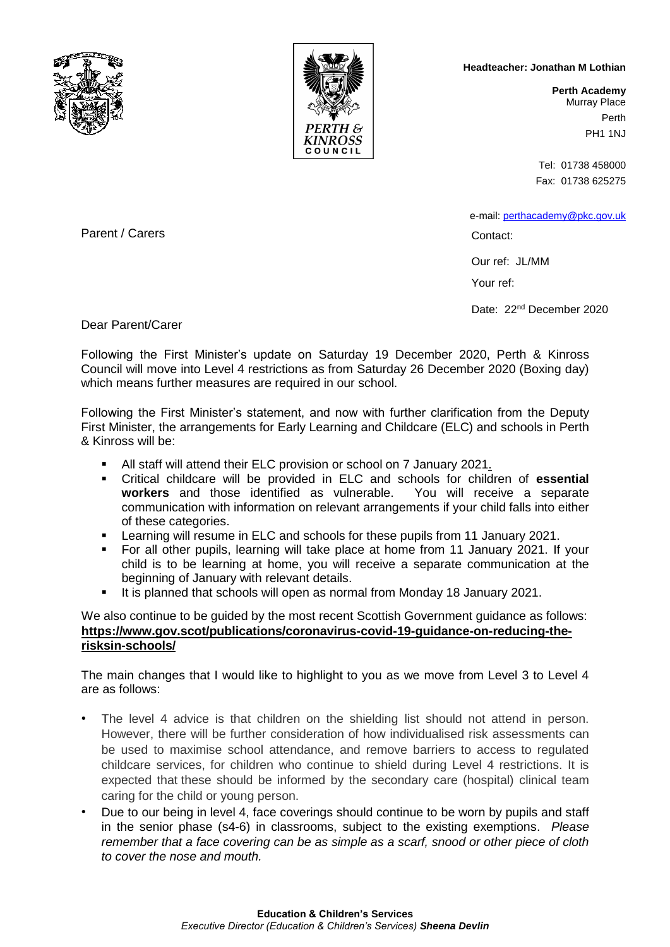



## **Headteacher: Jonathan M Lothian**

**Perth Academy** Murray Place Perth PH1 1NJ

Tel: 01738 458000 Fax: 01738 625275

e-mail: [perthacademy@pkc.gov.uk](mailto:perthacademy@pkc.gov.uk)

Contact:

Our ref: JL/MM

Your ref:

Date: 22<sup>nd</sup> December 2020

Parent / Carers

Dear Parent/Carer

Following the First Minister's update on Saturday 19 December 2020, Perth & Kinross Council will move into Level 4 restrictions as from Saturday 26 December 2020 (Boxing day) which means further measures are required in our school.

Following the First Minister's statement, and now with further clarification from the Deputy First Minister, the arrangements for Early Learning and Childcare (ELC) and schools in Perth & Kinross will be:

- All staff will attend their ELC provision or school on 7 January 2021.
- Critical childcare will be provided in ELC and schools for children of **essential workers** and those identified as vulnerable. You will receive a separate communication with information on relevant arrangements if your child falls into either of these categories.
- Learning will resume in ELC and schools for these pupils from 11 January 2021.
- For all other pupils, learning will take place at home from 11 January 2021. If your child is to be learning at home, you will receive a separate communication at the beginning of January with relevant details.
- It is planned that schools will open as normal from Monday 18 January 2021.

## We also continue to be guided by the most recent Scottish Government guidance as follows: **[https://www.gov.scot/publications/coronavirus-covid-19-guidance-on-reducing-the](https://www.gov.scot/publications/coronavirus-covid-19-guidance-on-reducing-the-risks-in-schools/)[risksin-schools/](https://www.gov.scot/publications/coronavirus-covid-19-guidance-on-reducing-the-risks-in-schools/)**

The main changes that I would like to highlight to you as we move from Level 3 to Level 4 are as follows:

- The level 4 advice is that children on the shielding list should not attend in person. However, there will be further consideration of how individualised risk assessments can be used to maximise school attendance, and remove barriers to access to regulated childcare services, for children who continue to shield during Level 4 restrictions. It is expected that these should be informed by the secondary care (hospital) clinical team caring for the child or young person.
- Due to our being in level 4, face coverings should continue to be worn by pupils and staff in the senior phase (s4-6) in classrooms, subject to the existing exemptions. *Please remember that a face covering can be as simple as a scarf, snood or other piece of cloth to cover the nose and mouth.*